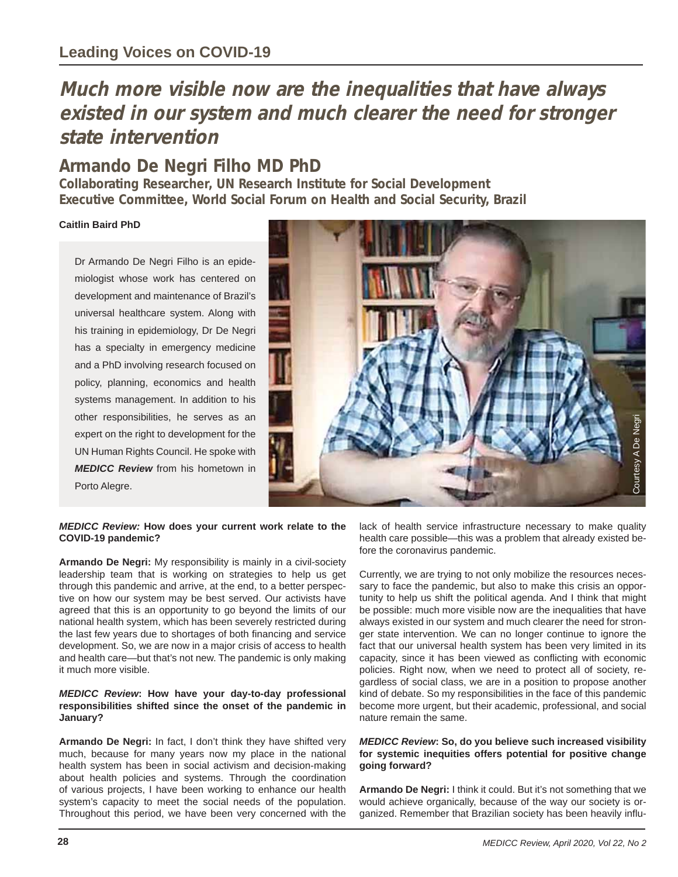# **Much more visible now are the inequalities that have always existed in our system and much clearer the need for stronger state intervention**

## **Armando De Negri Filho MD PhD**

**Collaborating Researcher, UN Research Institute for Social Development Executive Committee, World Social Forum on Health and Social Security, Brazil**

### **Caitlin Baird PhD**

Dr Armando De Negri Filho is an epidemiologist whose work has centered on development and maintenance of Brazil's universal healthcare system. Along with his training in epidemiology, Dr De Negri has a specialty in emergency medicine and a PhD involving research focused on policy, planning, economics and health systems management. In addition to his other responsibilities, he serves as an expert on the right to development for the UN Human Rights Council. He spoke with *MEDICC Review* from his hometown in Porto Alegre.



#### *MEDICC Review:* **How does your current work relate to the COVID-19 pandemic?**

**Armando De Negri:** My responsibility is mainly in a civil-society leadership team that is working on strategies to help us get through this pandemic and arrive, at the end, to a better perspective on how our system may be best served. Our activists have agreed that this is an opportunity to go beyond the limits of our national health system, which has been severely restricted during the last few years due to shortages of both financing and service development. So, we are now in a major crisis of access to health and health care—but that's not new. The pandemic is only making it much more visible.

#### *MEDICC Review***: How have your day-to-day professional responsibilities shifted since the onset of the pandemic in January?**

**Armando De Negri:** In fact, I don't think they have shifted very much, because for many years now my place in the national health system has been in social activism and decision-making about health policies and systems. Through the coordination of various projects, I have been working to enhance our health system's capacity to meet the social needs of the population. Throughout this period, we have been very concerned with the lack of health service infrastructure necessary to make quality health care possible—this was a problem that already existed before the coronavirus pandemic.

Currently, we are trying to not only mobilize the resources necessary to face the pandemic, but also to make this crisis an opportunity to help us shift the political agenda. And I think that might be possible: much more visible now are the inequalities that have always existed in our system and much clearer the need for stronger state intervention. We can no longer continue to ignore the fact that our universal health system has been very limited in its capacity, since it has been viewed as conflicting with economic policies. Right now, when we need to protect all of society, regardless of social class, we are in a position to propose another kind of debate. So my responsibilities in the face of this pandemic become more urgent, but their academic, professional, and social nature remain the same. Figure 11 and the service infrastructure necessary to make quality<br>health care possible—this was a problem that already existed be-<br>furnity to the coronavirus pandemic.<br>Currently, we are trying to not only mobilize the res

#### *MEDICC Review***: So, do you believe such increased visibility for systemic inequities offers potential for positive change going forward?**

**Armando De Negri:** I think it could. But it's not something that we would achieve organically, because of the way our society is or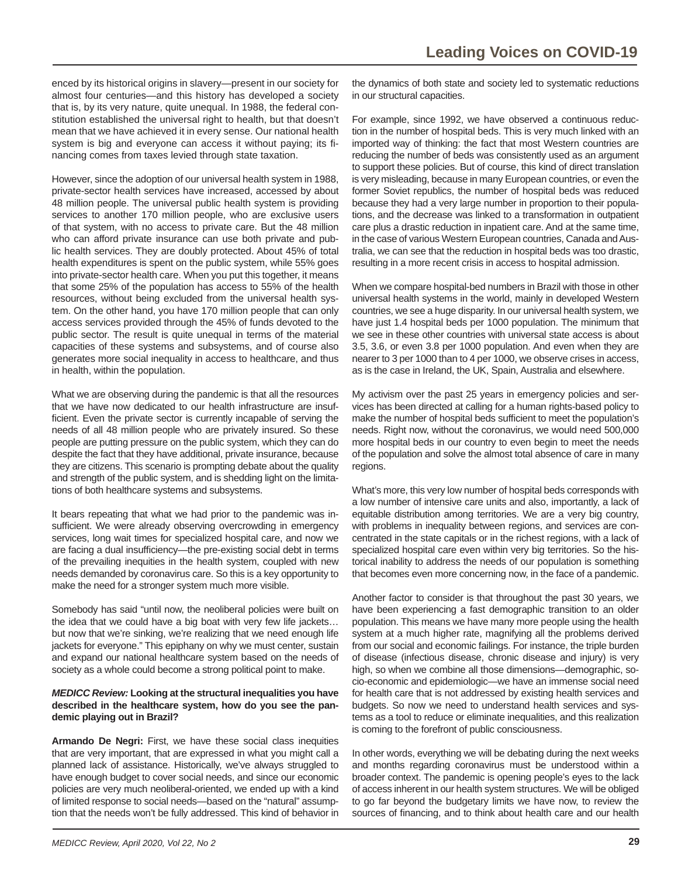enced by its historical origins in slavery—present in our society for almost four centuries—and this history has developed a society that is, by its very nature, quite unequal. In 1988, the federal constitution established the universal right to health, but that doesn't mean that we have achieved it in every sense. Our national health system is big and everyone can access it without paying; its financing comes from taxes levied through state taxation.

However, since the adoption of our universal health system in 1988, private-sector health services have increased, accessed by about 48 million people. The universal public health system is providing services to another 170 million people, who are exclusive users of that system, with no access to private care. But the 48 million who can afford private insurance can use both private and public health services. They are doubly protected. About 45% of total health expenditures is spent on the public system, while 55% goes into private-sector health care. When you put this together, it means that some 25% of the population has access to 55% of the health resources, without being excluded from the universal health system. On the other hand, you have 170 million people that can only access services provided through the 45% of funds devoted to the public sector. The result is quite unequal in terms of the material capacities of these systems and subsystems, and of course also generates more social inequality in access to healthcare, and thus in health, within the population.

What we are observing during the pandemic is that all the resources that we have now dedicated to our health infrastructure are insufficient. Even the private sector is currently incapable of serving the needs of all 48 million people who are privately insured. So these people are putting pressure on the public system, which they can do despite the fact that they have additional, private insurance, because they are citizens. This scenario is prompting debate about the quality and strength of the public system, and is shedding light on the limitations of both healthcare systems and subsystems.

It bears repeating that what we had prior to the pandemic was insufficient. We were already observing overcrowding in emergency services, long wait times for specialized hospital care, and now we are facing a dual insufficiency—the pre-existing social debt in terms of the prevailing inequities in the health system, coupled with new needs demanded by coronavirus care. So this is a key opportunity to make the need for a stronger system much more visible.

Somebody has said "until now, the neoliberal policies were built on the idea that we could have a big boat with very few life jackets… but now that we're sinking, we're realizing that we need enough life jackets for everyone." This epiphany on why we must center, sustain and expand our national healthcare system based on the needs of society as a whole could become a strong political point to make.

#### *MEDICC Review:* **Looking at the structural inequalities you have described in the healthcare system, how do you see the pandemic playing out in Brazil?**

**Armando De Negri:** First, we have these social class inequities that are very important, that are expressed in what you might call a planned lack of assistance. Historically, we've always struggled to have enough budget to cover social needs, and since our economic policies are very much neoliberal-oriented, we ended up with a kind of limited response to social needs—based on the "natural" assumption that the needs won't be fully addressed. This kind of behavior in

the dynamics of both state and society led to systematic reductions in our structural capacities.

For example, since 1992, we have observed a continuous reduction in the number of hospital beds. This is very much linked with an imported way of thinking: the fact that most Western countries are reducing the number of beds was consistently used as an argument to support these policies. But of course, this kind of direct translation is very misleading, because in many European countries, or even the former Soviet republics, the number of hospital beds was reduced because they had a very large number in proportion to their populations, and the decrease was linked to a transformation in outpatient care plus a drastic reduction in inpatient care. And at the same time, in the case of various Western European countries, Canada and Australia, we can see that the reduction in hospital beds was too drastic, resulting in a more recent crisis in access to hospital admission.

When we compare hospital-bed numbers in Brazil with those in other universal health systems in the world, mainly in developed Western countries, we see a huge disparity. In our universal health system, we have just 1.4 hospital beds per 1000 population. The minimum that we see in these other countries with universal state access is about 3.5, 3.6, or even 3.8 per 1000 population. And even when they are nearer to 3 per 1000 than to 4 per 1000, we observe crises in access, as is the case in Ireland, the UK, Spain, Australia and elsewhere.

My activism over the past 25 years in emergency policies and services has been directed at calling for a human rights-based policy to make the number of hospital beds sufficient to meet the population's needs. Right now, without the coronavirus, we would need 500,000 more hospital beds in our country to even begin to meet the needs of the population and solve the almost total absence of care in many regions.

What's more, this very low number of hospital beds corresponds with a low number of intensive care units and also, importantly, a lack of equitable distribution among territories. We are a very big country, with problems in inequality between regions, and services are concentrated in the state capitals or in the richest regions, with a lack of specialized hospital care even within very big territories. So the historical inability to address the needs of our population is something that becomes even more concerning now, in the face of a pandemic.

Another factor to consider is that throughout the past 30 years, we have been experiencing a fast demographic transition to an older population. This means we have many more people using the health system at a much higher rate, magnifying all the problems derived from our social and economic failings. For instance, the triple burden of disease (infectious disease, chronic disease and injury) is very high, so when we combine all those dimensions—demographic, socio-economic and epidemiologic—we have an immense social need for health care that is not addressed by existing health services and budgets. So now we need to understand health services and systems as a tool to reduce or eliminate inequalities, and this realization is coming to the forefront of public consciousness.

In other words, everything we will be debating during the next weeks and months regarding coronavirus must be understood within a broader context. The pandemic is opening people's eyes to the lack of access inherent in our health system structures. We will be obliged to go far beyond the budgetary limits we have now, to review the sources of financing, and to think about health care and our health